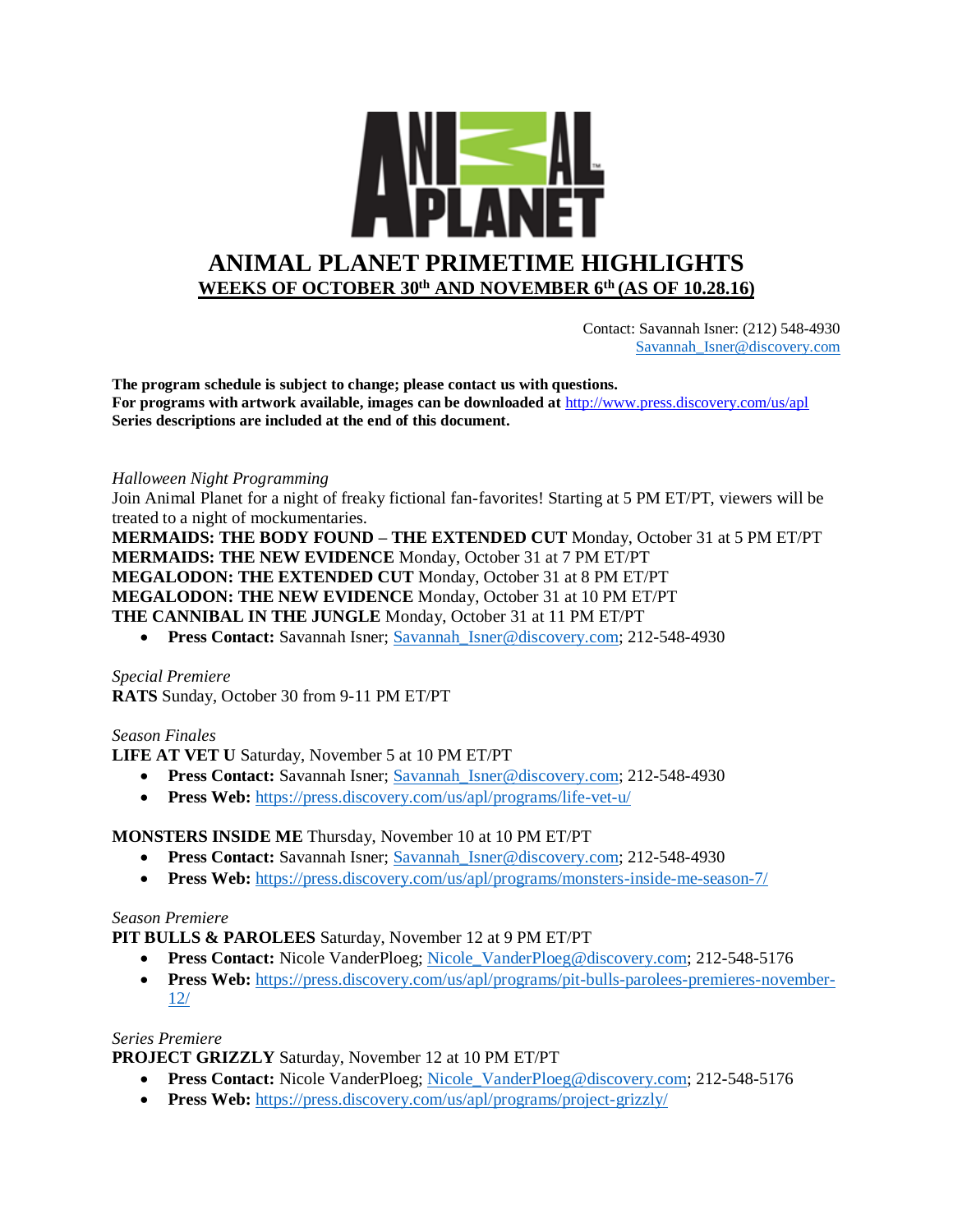

 Contact: Savannah Isner: (212) 548-4930 [Savannah\\_Isner@discovery.com](mailto:Savannah_Isner@discovery.com)

**The program schedule is subject to change; please contact us with questions. For programs with artwork available, images can be downloaded at** http://www.press.discovery.com/us/apl **Series descriptions are included at the end of this document.** 

#### *Halloween Night Programming*

Join Animal Planet for a night of freaky fictional fan-favorites! Starting at 5 PM ET/PT, viewers will be treated to a night of mockumentaries.

**MERMAIDS: THE BODY FOUND – THE EXTENDED CUT** Monday, October 31 at 5 PM ET/PT **MERMAIDS: THE NEW EVIDENCE** Monday, October 31 at 7 PM ET/PT **MEGALODON: THE EXTENDED CUT** Monday, October 31 at 8 PM ET/PT **MEGALODON: THE NEW EVIDENCE** Monday, October 31 at 10 PM ET/PT **THE CANNIBAL IN THE JUNGLE** Monday, October 31 at 11 PM ET/PT

**Press Contact:** Savannah Isner; Savannah Isner@discovery.com; 212-548-4930

*Special Premiere* **RATS** Sunday, October 30 from 9-11 PM ET/PT

#### *Season Finales*

**LIFE AT VET U** Saturday, November 5 at 10 PM ET/PT

- **Press Contact:** Savannah Isner; Savannah Isner@discovery.com; 212-548-4930
- **Press Web:** <https://press.discovery.com/us/apl/programs/life-vet-u/>

### **MONSTERS INSIDE ME** Thursday, November 10 at 10 PM ET/PT

- **Press Contact:** Savannah Isner; Savannah Isner@discovery.com; 212-548-4930
- **Press Web:** <https://press.discovery.com/us/apl/programs/monsters-inside-me-season-7/>

## *Season Premiere*

**PIT BULLS & PAROLEES** Saturday, November 12 at 9 PM ET/PT

- **Press Contact:** Nicole VanderPloeg; [Nicole\\_VanderPloeg@discovery.com;](mailto:Nicole_VanderPloeg@discovery.com) 212-548-5176
- **Press Web:** [https://press.discovery.com/us/apl/programs/pit-bulls-parolees-premieres-november-](https://press.discovery.com/us/apl/programs/pit-bulls-parolees-premieres-november-12/)[12/](https://press.discovery.com/us/apl/programs/pit-bulls-parolees-premieres-november-12/)

#### *Series Premiere*

**PROJECT GRIZZLY** Saturday, November 12 at 10 PM ET/PT

- **Press Contact:** Nicole VanderPloeg; [Nicole\\_VanderPloeg@discovery.com;](mailto:Nicole_VanderPloeg@discovery.com) 212-548-5176
- **Press Web:** <https://press.discovery.com/us/apl/programs/project-grizzly/>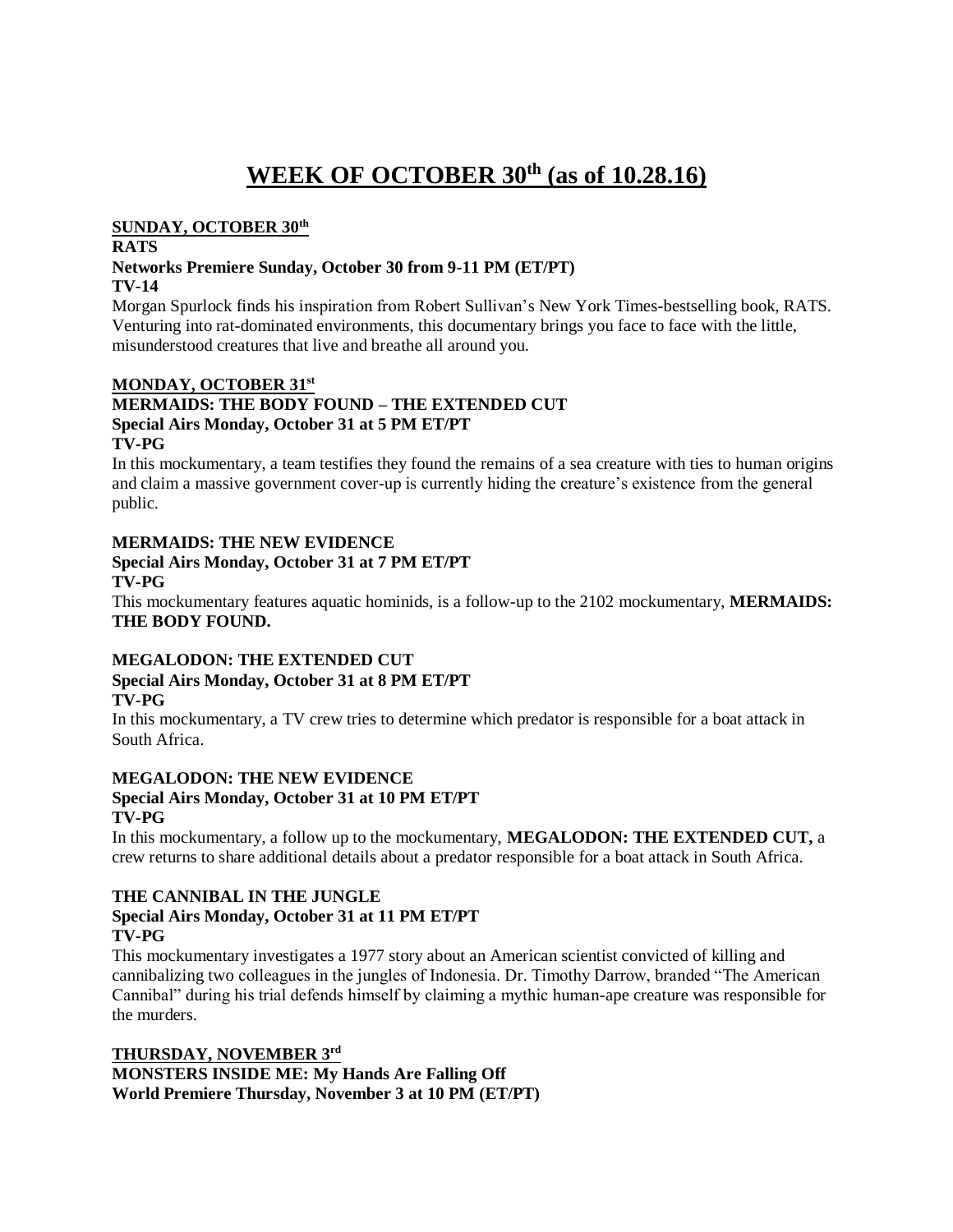# **WEEK OF OCTOBER 30th (as of 10.28.16)**

#### **SUNDAY, OCTOBER 30th**

### **RATS**

#### **Networks Premiere Sunday, October 30 from 9-11 PM (ET/PT) TV-14**

Morgan Spurlock finds his inspiration from Robert Sullivan's New York Times-bestselling book, RATS. Venturing into rat-dominated environments, this documentary brings you face to face with the little, misunderstood creatures that live and breathe all around you.

### **MONDAY, OCTOBER 31st**

# **MERMAIDS: THE BODY FOUND – THE EXTENDED CUT Special Airs Monday, October 31 at 5 PM ET/PT**

**TV-PG**

In this mockumentary, a team testifies they found the remains of a sea creature with ties to human origins and claim a massive government cover-up is currently hiding the creature's existence from the general public.

#### **MERMAIDS: THE NEW EVIDENCE Special Airs Monday, October 31 at 7 PM ET/PT TV-PG**

This mockumentary features aquatic hominids, is a follow-up to the 2102 mockumentary, **MERMAIDS: THE BODY FOUND.**

## **MEGALODON: THE EXTENDED CUT Special Airs Monday, October 31 at 8 PM ET/PT TV-PG**

In this mockumentary, a TV crew tries to determine which predator is responsible for a boat attack in South Africa.

#### **MEGALODON: THE NEW EVIDENCE Special Airs Monday, October 31 at 10 PM ET/PT**

**TV-PG**

In this mockumentary, a follow up to the mockumentary, **MEGALODON: THE EXTENDED CUT,** a crew returns to share additional details about a predator responsible for a boat attack in South Africa.

### **THE CANNIBAL IN THE JUNGLE Special Airs Monday, October 31 at 11 PM ET/PT TV-PG**

This mockumentary investigates a 1977 story about an American scientist convicted of killing and cannibalizing two colleagues in the jungles of Indonesia. Dr. Timothy Darrow, branded "The American Cannibal" during his trial defends himself by claiming a mythic human-ape creature was responsible for the murders.

**THURSDAY, NOVEMBER 3rd MONSTERS INSIDE ME: My Hands Are Falling Off World Premiere Thursday, November 3 at 10 PM (ET/PT)**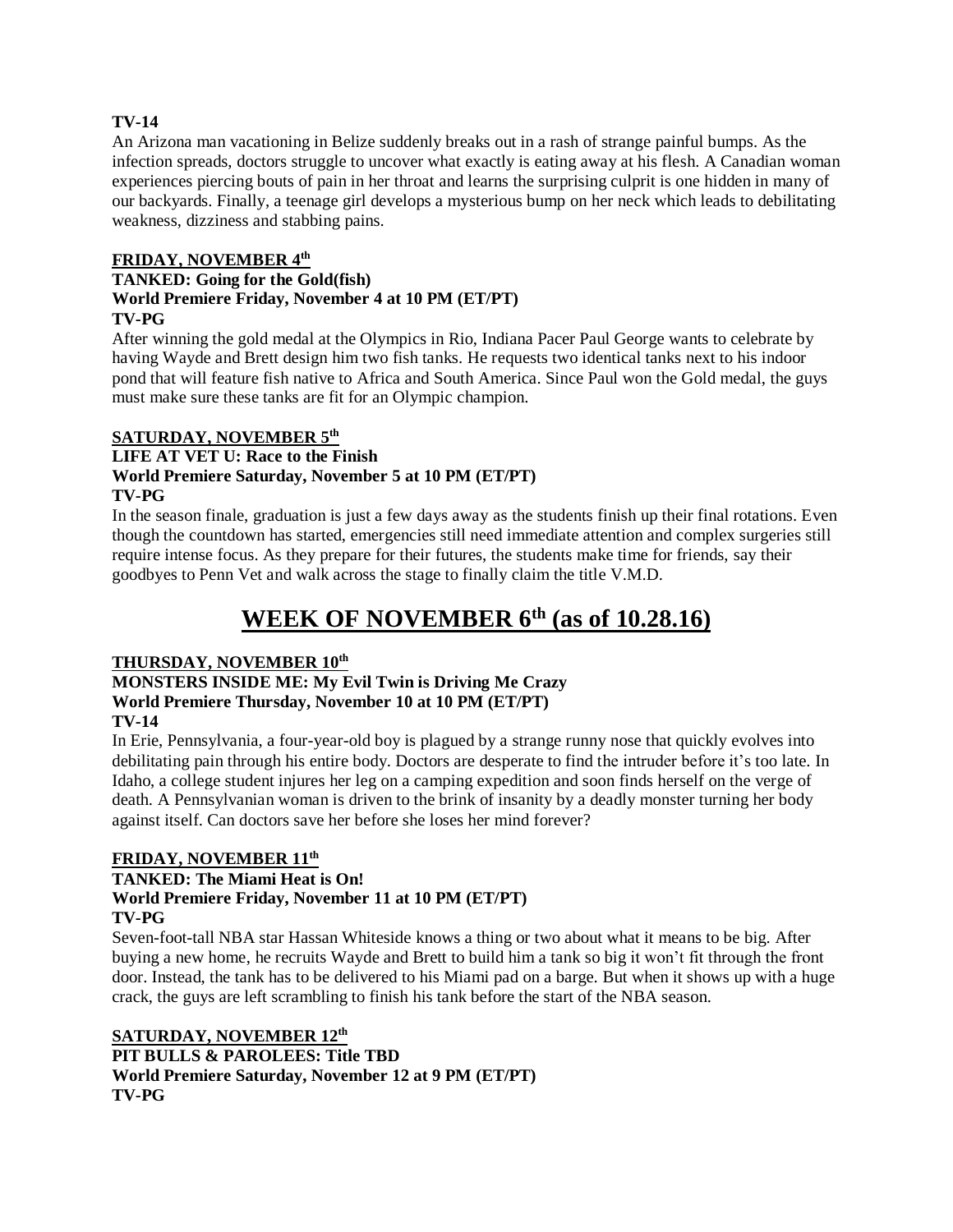### **TV-14**

An Arizona man vacationing in Belize suddenly breaks out in a rash of strange painful bumps. As the infection spreads, doctors struggle to uncover what exactly is eating away at his flesh. A Canadian woman experiences piercing bouts of pain in her throat and learns the surprising culprit is one hidden in many of our backyards. Finally, a teenage girl develops a mysterious bump on her neck which leads to debilitating weakness, dizziness and stabbing pains.

### **FRIDAY, NOVEMBER 4th**

### **TANKED: Going for the Gold(fish) World Premiere Friday, November 4 at 10 PM (ET/PT) TV-PG**

After winning the gold medal at the Olympics in Rio, Indiana Pacer Paul George wants to celebrate by having Wayde and Brett design him two fish tanks. He requests two identical tanks next to his indoor pond that will feature fish native to Africa and South America. Since Paul won the Gold medal, the guys must make sure these tanks are fit for an Olympic champion.

## **SATURDAY, NOVEMBER 5th**

## **LIFE AT VET U: Race to the Finish World Premiere Saturday, November 5 at 10 PM (ET/PT) TV-PG**

In the season finale, graduation is just a few days away as the students finish up their final rotations. Even though the countdown has started, emergencies still need immediate attention and complex surgeries still require intense focus. As they prepare for their futures, the students make time for friends, say their goodbyes to Penn Vet and walk across the stage to finally claim the title V.M.D.

# **WEEK OF NOVEMBER 6th (as of 10.28.16)**

## **THURSDAY, NOVEMBER 10th**

## **MONSTERS INSIDE ME: My Evil Twin is Driving Me Crazy World Premiere Thursday, November 10 at 10 PM (ET/PT)**

## **TV-14**

In Erie, Pennsylvania, a four-year-old boy is plagued by a strange runny nose that quickly evolves into debilitating pain through his entire body. Doctors are desperate to find the intruder before it's too late. In Idaho, a college student injures her leg on a camping expedition and soon finds herself on the verge of death. A Pennsylvanian woman is driven to the brink of insanity by a deadly monster turning her body against itself. Can doctors save her before she loses her mind forever?

## **FRIDAY, NOVEMBER 11th**

# **TANKED: The Miami Heat is On!**

# **World Premiere Friday, November 11 at 10 PM (ET/PT)**

## **TV-PG**

Seven-foot-tall NBA star Hassan Whiteside knows a thing or two about what it means to be big. After buying a new home, he recruits Wayde and Brett to build him a tank so big it won't fit through the front door. Instead, the tank has to be delivered to his Miami pad on a barge. But when it shows up with a huge crack, the guys are left scrambling to finish his tank before the start of the NBA season.

**SATURDAY, NOVEMBER 12th PIT BULLS & PAROLEES: Title TBD World Premiere Saturday, November 12 at 9 PM (ET/PT) TV-PG**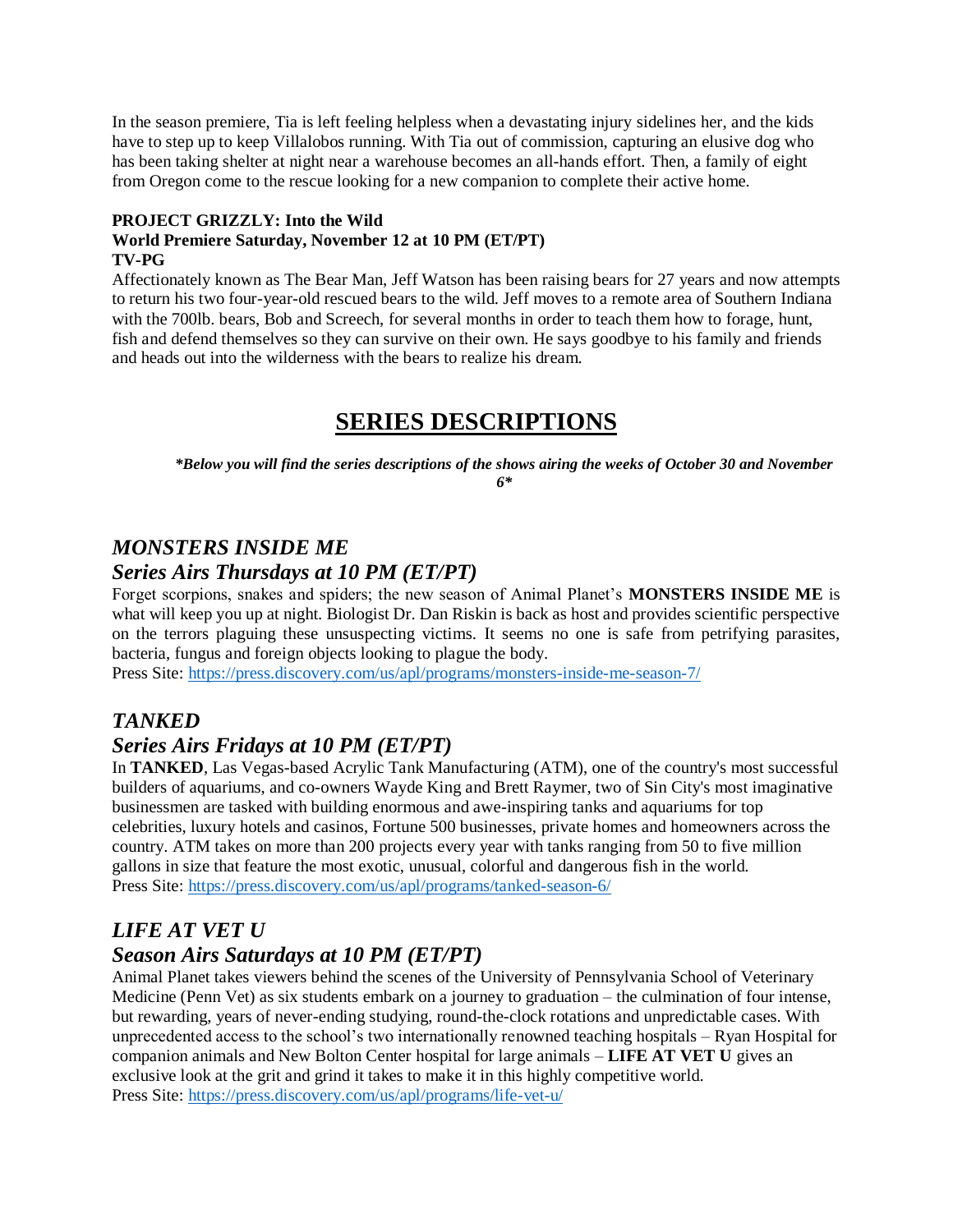In the season premiere, Tia is left feeling helpless when a devastating injury sidelines her, and the kids have to step up to keep Villalobos running. With Tia out of commission, capturing an elusive dog who has been taking shelter at night near a warehouse becomes an all-hands effort. Then, a family of eight from Oregon come to the rescue looking for a new companion to complete their active home.

### **PROJECT GRIZZLY: Into the Wild**

#### **World Premiere Saturday, November 12 at 10 PM (ET/PT) TV-PG**

Affectionately known as The Bear Man, Jeff Watson has been raising bears for 27 years and now attempts to return his two four-year-old rescued bears to the wild. Jeff moves to a remote area of Southern Indiana with the 700lb. bears, Bob and Screech, for several months in order to teach them how to forage, hunt, fish and defend themselves so they can survive on their own. He says goodbye to his family and friends and heads out into the wilderness with the bears to realize his dream.

# **SERIES DESCRIPTIONS**

*\*Below you will find the series descriptions of the shows airing the weeks of October 30 and November 6\**

# *MONSTERS INSIDE ME*

# *Series Airs Thursdays at 10 PM (ET/PT)*

Forget scorpions, snakes and spiders; the new season of Animal Planet's **MONSTERS INSIDE ME** is what will keep you up at night. Biologist Dr. Dan Riskin is back as host and provides scientific perspective on the terrors plaguing these unsuspecting victims. It seems no one is safe from petrifying parasites, bacteria, fungus and foreign objects looking to plague the body.

Press Site:<https://press.discovery.com/us/apl/programs/monsters-inside-me-season-7/>

# *TANKED*

# *Series Airs Fridays at 10 PM (ET/PT)*

In **TANKED**, Las Vegas-based Acrylic Tank Manufacturing (ATM), one of the country's most successful builders of aquariums, and co-owners Wayde King and Brett Raymer, two of Sin City's most imaginative businessmen are tasked with building enormous and awe-inspiring tanks and aquariums for top celebrities, luxury hotels and casinos, Fortune 500 businesses, private homes and homeowners across the country. ATM takes on more than 200 projects every year with tanks ranging from 50 to five million gallons in size that feature the most exotic, unusual, colorful and dangerous fish in the world. Press Site:<https://press.discovery.com/us/apl/programs/tanked-season-6/>

# *LIFE AT VET U Season Airs Saturdays at 10 PM (ET/PT)*

Animal Planet takes viewers behind the scenes of the University of Pennsylvania School of Veterinary Medicine (Penn Vet) as six students embark on a journey to graduation – the culmination of four intense, but rewarding, years of never-ending studying, round-the-clock rotations and unpredictable cases. With unprecedented access to the school's two internationally renowned teaching hospitals – Ryan Hospital for companion animals and New Bolton Center hospital for large animals – **LIFE AT VET U** gives an exclusive look at the grit and grind it takes to make it in this highly competitive world. Press Site:<https://press.discovery.com/us/apl/programs/life-vet-u/>